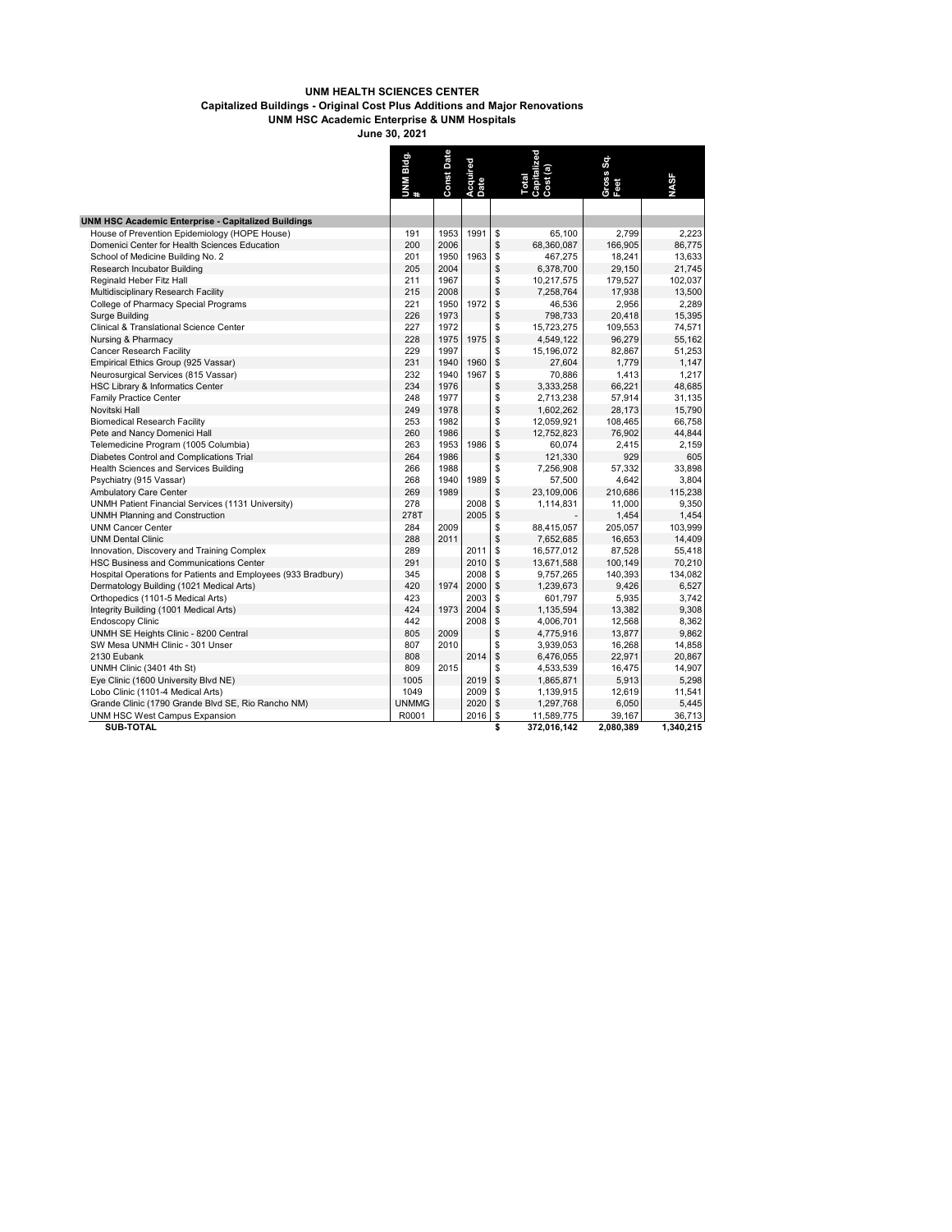## **UNM HEALTH SCIENCES CENTER Capitalized Buildings - Original Cost Plus Additions and Major Renovations UNM HSC Academic Enterprise & UNM Hospitals**

**June 30, 2021**

|                                                               |                       |                   |                  |                    | Capitalized<br>Cost (a)   |                     |                 |
|---------------------------------------------------------------|-----------------------|-------------------|------------------|--------------------|---------------------------|---------------------|-----------------|
|                                                               | UNM Bldg.<br>#        | <b>Const Date</b> | Acquired<br>Date |                    | Total                     | Gross Sq.<br>Feet   | <b>NASF</b>     |
|                                                               |                       |                   |                  |                    |                           |                     |                 |
|                                                               |                       |                   |                  |                    |                           |                     |                 |
| <b>UNM HSC Academic Enterprise - Capitalized Buildings</b>    |                       |                   |                  |                    |                           |                     |                 |
| House of Prevention Epidemiology (HOPE House)                 | 191                   | 1953              | 1991             | \$                 | 65,100                    | 2,799               | 2,223           |
| Domenici Center for Health Sciences Education                 | 200                   | 2006              |                  | \$                 | 68,360,087                | 166,905             | 86,775          |
| School of Medicine Building No. 2                             | 201                   | 1950              | 1963             | \$                 | 467.275                   | 18,241              | 13,633          |
| Research Incubator Building                                   | 205                   | 2004              |                  | \$                 | 6,378,700                 | 29,150              | 21,745          |
| Reginald Heber Fitz Hall                                      | 211                   | 1967              |                  | \$                 | 10,217,575                | 179,527             | 102,037         |
| Multidisciplinary Research Facility                           | 215                   | 2008              |                  | \$                 | 7,258,764                 | 17,938              | 13,500          |
| College of Pharmacy Special Programs                          | 221                   | 1950              | 1972             | \$                 | 46,536                    | 2.956               | 2.289           |
| Surge Building                                                | 226                   | 1973              |                  | \$                 | 798,733                   | 20,418              | 15,395          |
| Clinical & Translational Science Center                       | 227                   | 1972              |                  | \$                 | 15,723,275                | 109,553             | 74,571          |
| Nursing & Pharmacy                                            | 228                   | 1975              | 1975             | \$                 | 4,549,122                 | 96,279              | 55,162          |
| Cancer Research Facility                                      | 229                   | 1997              |                  | \$                 | 15,196,072                | 82,867              | 51,253          |
| Empirical Ethics Group (925 Vassar)                           | 231                   | 1940              | 1960             | \$                 | 27,604                    | 1,779               | 1,147           |
| Neurosurgical Services (815 Vassar)                           | 232                   | 1940              | 1967             | \$                 | 70,886                    | 1,413               | 1,217           |
| HSC Library & Informatics Center                              | 234                   | 1976              |                  | \$                 | 3,333,258                 | 66,221              | 48,685          |
| <b>Family Practice Center</b>                                 | 248                   | 1977              |                  | \$                 | 2,713,238                 | 57,914              | 31,135          |
| Novitski Hall                                                 | 249                   | 1978              |                  | \$                 | 1,602,262                 | 28,173              | 15,790          |
| <b>Biomedical Research Facility</b>                           | 253                   | 1982              |                  | \$                 | 12,059,921                | 108.465             | 66.758          |
| Pete and Nancy Domenici Hall                                  | 260                   | 1986              |                  | \$                 | 12,752,823                | 76,902              | 44,844          |
| Telemedicine Program (1005 Columbia)                          | 263                   | 1953              | 1986             | \$                 | 60,074                    | 2,415               | 2,159           |
| Diabetes Control and Complications Trial                      | 264                   | 1986              |                  | \$                 | 121,330                   | 929                 | 605             |
| Health Sciences and Services Building                         | 266                   | 1988              |                  | \$                 | 7,256,908                 | 57,332              | 33,898          |
| Psychiatry (915 Vassar)                                       | 268                   | 1940              | 1989             | \$                 | 57,500                    | 4,642               | 3,804           |
| Ambulatory Care Center                                        | 269                   | 1989              |                  | \$                 | 23,109,006                | 210,686             | 115,238         |
| UNMH Patient Financial Services (1131 University)             | 278                   |                   | 2008             | \$                 | 1,114,831                 | 11.000              | 9.350           |
| <b>UNMH Planning and Construction</b>                         | 278T                  |                   | 2005             | \$                 |                           | 1,454               | 1,454           |
| <b>UNM Cancer Center</b>                                      | 284                   | 2009              |                  | \$                 | 88,415,057                | 205,057             | 103,999         |
| <b>UNM Dental Clinic</b>                                      | 288                   | 2011              |                  | \$                 | 7,652,685                 | 16,653              | 14,409          |
| Innovation, Discovery and Training Complex                    | 289                   |                   | 2011             | \$                 | 16,577,012                | 87,528              | 55,418          |
| HSC Business and Communications Center                        | 291                   |                   | 2010             | \$                 | 13,671,588                | 100,149             | 70,210          |
| Hospital Operations for Patients and Employees (933 Bradbury) | 345                   |                   | 2008             | \$                 | 9,757,265                 | 140,393             | 134,082         |
| Dermatology Building (1021 Medical Arts)                      | 420                   | 1974              | 2000             | $\mathbb{S}$       | 1,239,673                 | 9,426               | 6,527           |
| Orthopedics (1101-5 Medical Arts)                             | 423                   |                   | 2003             | \$                 | 601,797                   | 5,935               | 3,742           |
| Integrity Building (1001 Medical Arts)                        | 424                   | 1973              | 2004             | $$\mathbb{S}$$     | 1,135,594                 | 13,382              | 9,308           |
| <b>Endoscopy Clinic</b>                                       | 442                   |                   | 2008             | \$                 | 4,006,701                 | 12,568              | 8,362           |
| UNMH SE Heights Clinic - 8200 Central                         | 805                   | 2009              |                  | \$                 | 4,775,916                 | 13,877              | 9,862           |
| SW Mesa UNMH Clinic - 301 Unser                               | 807                   | 2010              |                  | \$                 | 3,939,053                 | 16,268              | 14,858          |
| 2130 Eubank                                                   | 808                   |                   | 2014             | \$                 | 6,476,055                 | 22,971              | 20,867          |
| UNMH Clinic (3401 4th St)                                     | 809                   | 2015              |                  | \$                 | 4,533,539                 | 16,475              | 14,907          |
| Eye Clinic (1600 University Blvd NE)                          | 1005                  |                   | 2019             | \$                 | 1,865,871                 | 5,913               | 5,298           |
|                                                               | 1049                  |                   | 2009             | \$                 |                           |                     |                 |
| Lobo Clinic (1101-4 Medical Arts)                             |                       |                   |                  |                    | 1,139,915                 | 12,619              | 11,541          |
| Grande Clinic (1790 Grande Blvd SE, Rio Rancho NM)            | <b>UNMMG</b><br>R0001 |                   | 2020<br>2016     | $\mathbb{S}$<br>\$ | 1,297,768                 | 6,050               | 5,445<br>36,713 |
| UNM HSC West Campus Expansion<br>SUB-TOTAL                    |                       |                   |                  | Ŝ                  | 11,589,775<br>372.016.142 | 39,167<br>2.080.389 | 1,340,215       |